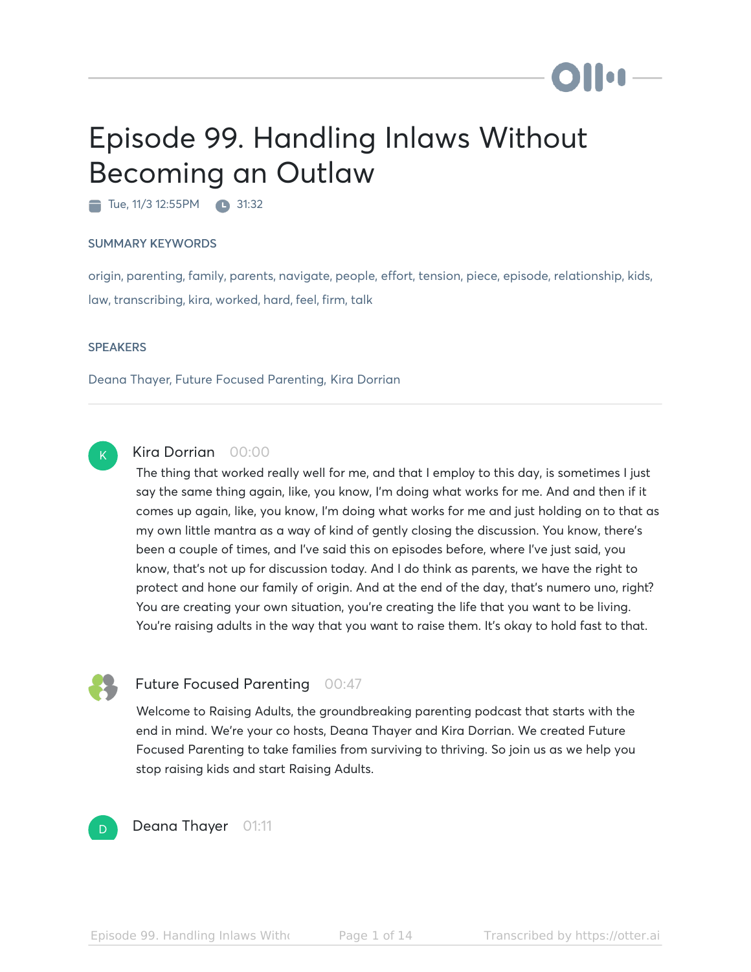# Episode 99. Handling Inlaws Without Becoming an Outlaw

Tue, 11/3 12:55 PM 31:32

#### SUMMARY KEYWORDS

origin, parenting, family, parents, navigate, people, effort, tension, piece, episode, relationship, kids, law, transcribing, kira, worked, hard, feel, firm, talk

#### **SPEAKERS**

Deana Thayer, Future Focused Parenting, Kira Dorrian



# Kira Dorrian 00:00

The thing that worked really well for me, and that I employ to this day, is sometimes I just say the same thing again, like, you know, I'm doing what works for me. And and then if it comes up again, like, you know, I'm doing what works for me and just holding on to that as my own little mantra as a way of kind of gently closing the discussion. You know, there's been a couple of times, and I've said this on episodes before, where I've just said, you know, that's not up for discussion today. And I do think as parents, we have the right to protect and hone our family of origin. And at the end of the day, that's numero uno, right? You are creating your own situation, you're creating the life that you want to be living. You're raising adults in the way that you want to raise them. It's okay to hold fast to that.



# Future Focused Parenting 00:47

Welcome to Raising Adults, the groundbreaking parenting podcast that starts with the end in mind. We're your co hosts, Deana Thayer and Kira Dorrian. We created Future Focused Parenting to take families from surviving to thriving. So join us as we help you stop raising kids and start Raising Adults.



Deana Thayer 01:11

**Dilon**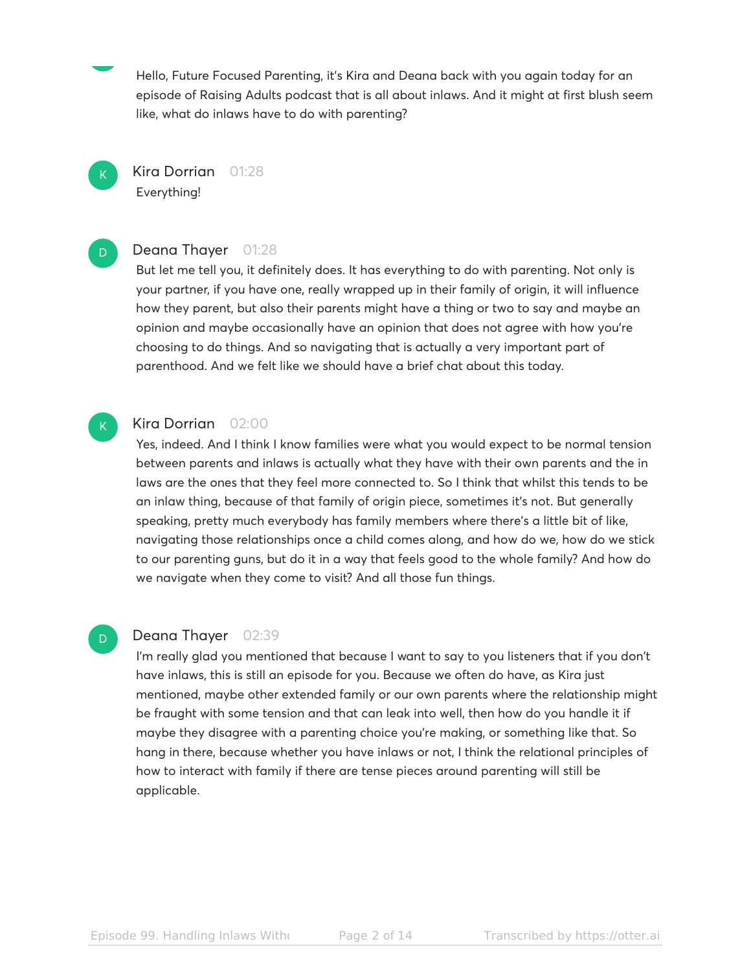Hello, Future Focused Parenting, it's Kira and Deana back with you again today for an episode of Raising Adults podcast that is all about inlaws. And it might at first blush seem like, what do inlaws have to do with parenting?

Kira Dorrian 01:28 Everything!

 $\mathsf{K}_{\scriptscriptstyle{+}}$ 

D.

 $\mathsf{K}_{\scriptscriptstyle{+}}$ 

D

# Deana Thayer 01:28

But let me tell you, it definitely does. It has everything to do with parenting. Not only is your partner, if you have one, really wrapped up in their family of origin, it will influence how they parent, but also their parents might have a thing or two to say and maybe an opinion and maybe occasionally have an opinion that does not agree with how you're choosing to do things. And so navigating that is actually a very important part of parenthood. And we felt like we should have a brief chat about this today.

# Kira Dorrian 02:00

Yes, indeed. And I think I know families were what you would expect to be normal tension between parents and inlaws is actually what they have with their own parents and the in laws are the ones that they feel more connected to. So I think that whilst this tends to be an inlaw thing, because of that family of origin piece, sometimes it's not. But generally speaking, pretty much everybody has family members where there's a little bit of like, navigating those relationships once a child comes along, and how do we, how do we stick to our parenting guns, but do it in a way that feels good to the whole family? And how do we navigate when they come to visit? And all those fun things.

# Deana Thayer 02:39

I'm really glad you mentioned that because I want to say to you listeners that if you don't have inlaws, this is still an episode for you. Because we often do have, as Kira just mentioned, maybe other extended family or our own parents where the relationship might be fraught with some tension and that can leak into well, then how do you handle it if maybe they disagree with a parenting choice you're making, or something like that. So hang in there, because whether you have inlaws or not, I think the relational principles of how to interact with family if there are tense pieces around parenting will still be applicable.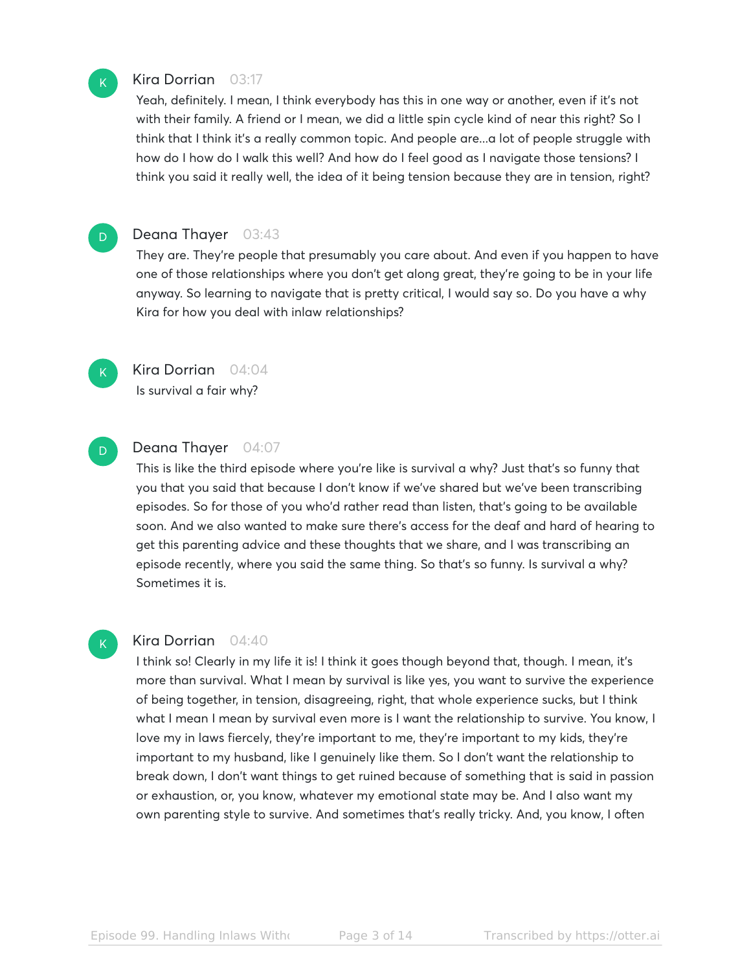# Kira Dorrian 03:17

Yeah, definitely. I mean, I think everybody has this in one way or another, even if it's not with their family. A friend or I mean, we did a little spin cycle kind of near this right? So I think that I think it's a really common topic. And people are...a lot of people struggle with how do I how do I walk this well? And how do I feel good as I navigate those tensions? I think you said it really well, the idea of it being tension because they are in tension, right?

# D

 $\mathsf{K}_{\scriptscriptstyle{+}}$ 

# Deana Thayer 03:43

They are. They're people that presumably you care about. And even if you happen to have one of those relationships where you don't get along great, they're going to be in your life anyway. So learning to navigate that is pretty critical, I would say so. Do you have a why Kira for how you deal with inlaw relationships?



# Kira Dorrian 04:04

Is survival a fair why?

# D

# Deana Thayer 04:07

This is like the third episode where you're like is survival a why? Just that's so funny that you that you said that because I don't know if we've shared but we've been transcribing episodes. So for those of you who'd rather read than listen, that's going to be available soon. And we also wanted to make sure there's access for the deaf and hard of hearing to get this parenting advice and these thoughts that we share, and I was transcribing an episode recently, where you said the same thing. So that's so funny. Is survival a why? Sometimes it is.

# K

# Kira Dorrian 04:40

I think so! Clearly in my life it is! I think it goes though beyond that, though. I mean, it's more than survival. What I mean by survival is like yes, you want to survive the experience of being together, in tension, disagreeing, right, that whole experience sucks, but I think what I mean I mean by survival even more is I want the relationship to survive. You know, I love my in laws fiercely, they're important to me, they're important to my kids, they're important to my husband, like I genuinely like them. So I don't want the relationship to break down, I don't want things to get ruined because of something that is said in passion or exhaustion, or, you know, whatever my emotional state may be. And I also want my own parenting style to survive. And sometimes that's really tricky. And, you know, I often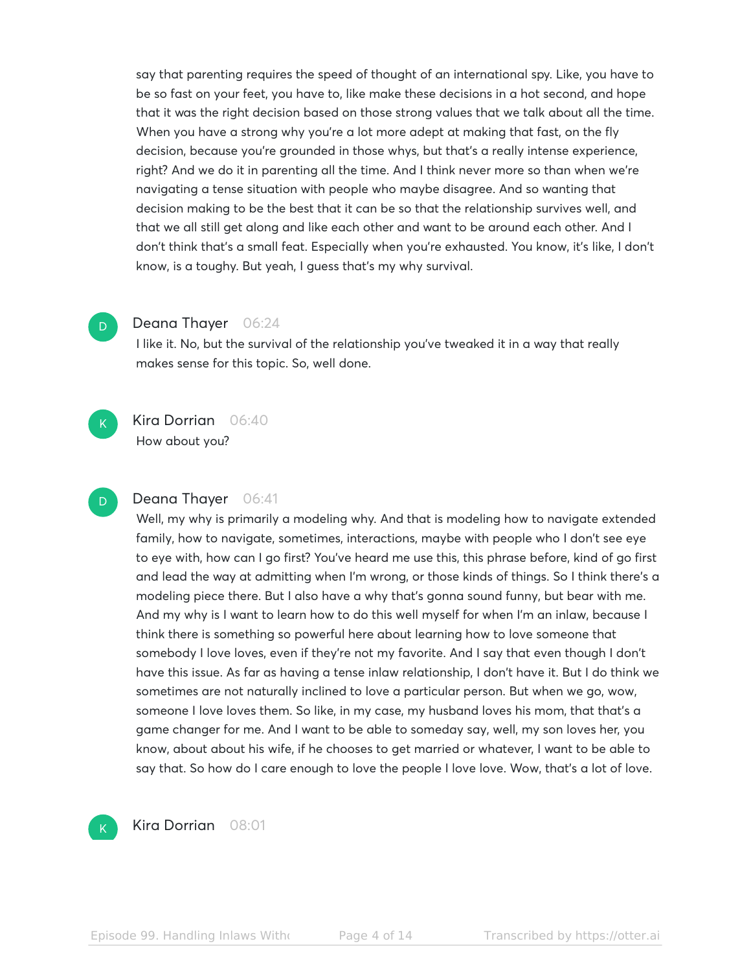say that parenting requires the speed of thought of an international spy. Like, you have to be so fast on your feet, you have to, like make these decisions in a hot second, and hope that it was the right decision based on those strong values that we talk about all the time. When you have a strong why you're a lot more adept at making that fast, on the fly decision, because you're grounded in those whys, but that's a really intense experience, right? And we do it in parenting all the time. And I think never more so than when we're navigating a tense situation with people who maybe disagree. And so wanting that decision making to be the best that it can be so that the relationship survives well, and that we all still get along and like each other and want to be around each other. And I don't think that's a small feat. Especially when you're exhausted. You know, it's like, I don't know, is a toughy. But yeah, I guess that's my why survival.

# Deana Thayer 06:24

I like it. No, but the survival of the relationship you've tweaked it in a way that really makes sense for this topic. So, well done.



D

D

### Kira Dorrian 06:40

How about you?

# Deana Thayer 06:41

Well, my why is primarily a modeling why. And that is modeling how to navigate extended family, how to navigate, sometimes, interactions, maybe with people who I don't see eye to eye with, how can I go first? You've heard me use this, this phrase before, kind of go first and lead the way at admitting when I'm wrong, or those kinds of things. So I think there's a modeling piece there. But I also have a why that's gonna sound funny, but bear with me. And my why is I want to learn how to do this well myself for when I'm an inlaw, because I think there is something so powerful here about learning how to love someone that somebody I love loves, even if they're not my favorite. And I say that even though I don't have this issue. As far as having a tense inlaw relationship, I don't have it. But I do think we sometimes are not naturally inclined to love a particular person. But when we go, wow, someone I love loves them. So like, in my case, my husband loves his mom, that that's a game changer for me. And I want to be able to someday say, well, my son loves her, you know, about about his wife, if he chooses to get married or whatever, I want to be able to say that. So how do I care enough to love the people I love love. Wow, that's a lot of love.



Kira Dorrian 08:01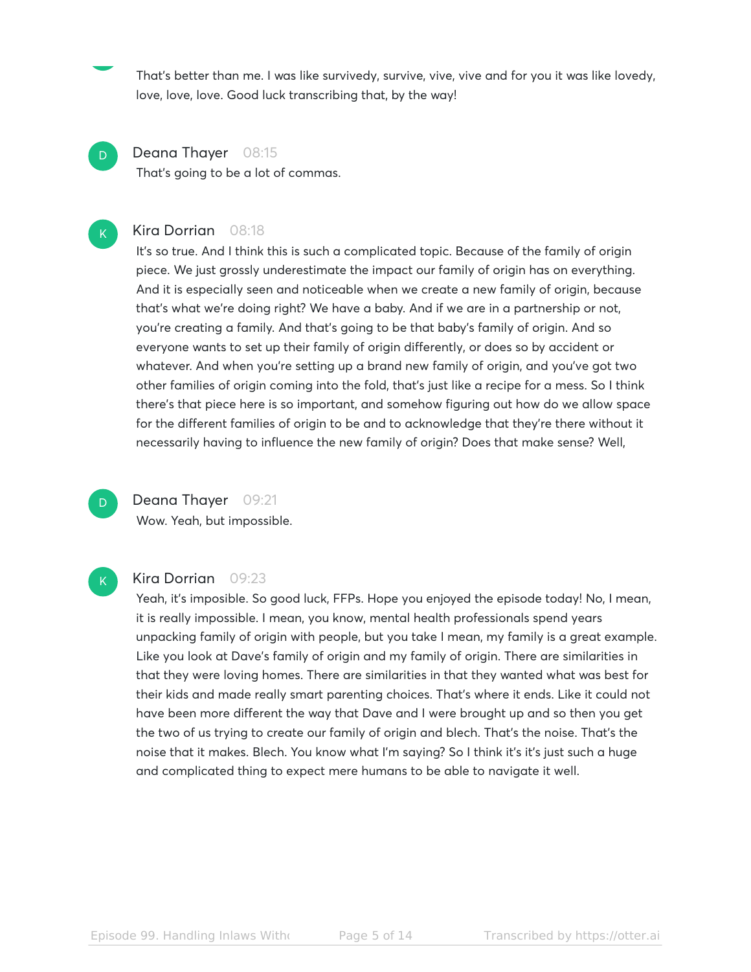That's better than me. I was like survivedy, survive, vive, vive and for you it was like lovedy, love, love, love. Good luck transcribing that, by the way!

Deana Thayer 08:15 That's going to be a lot of commas.

#### Kira Dorrian 08:18

It's so true. And I think this is such a complicated topic. Because of the family of origin piece. We just grossly underestimate the impact our family of origin has on everything. And it is especially seen and noticeable when we create a new family of origin, because that's what we're doing right? We have a baby. And if we are in a partnership or not, you're creating a family. And that's going to be that baby's family of origin. And so everyone wants to set up their family of origin differently, or does so by accident or whatever. And when you're setting up a brand new family of origin, and you've got two other families of origin coming into the fold, that's just like a recipe for a mess. So I think there's that piece here is so important, and somehow figuring out how do we allow space for the different families of origin to be and to acknowledge that they're there without it necessarily having to influence the new family of origin? Does that make sense? Well,

 $\overline{\mathsf{D}}^-$ 

D

 $\mathsf{K}_{\scriptscriptstyle{+}}$ 

# Deana Thayer 09:21

Wow. Yeah, but impossible.



# Kira Dorrian 09:23

Yeah, it's imposible. So good luck, FFPs. Hope you enjoyed the episode today! No, I mean, it is really impossible. I mean, you know, mental health professionals spend years unpacking family of origin with people, but you take I mean, my family is a great example. Like you look at Dave's family of origin and my family of origin. There are similarities in that they were loving homes. There are similarities in that they wanted what was best for their kids and made really smart parenting choices. That's where it ends. Like it could not have been more different the way that Dave and I were brought up and so then you get the two of us trying to create our family of origin and blech. That's the noise. That's the noise that it makes. Blech. You know what I'm saying? So I think it's it's just such a huge and complicated thing to expect mere humans to be able to navigate it well.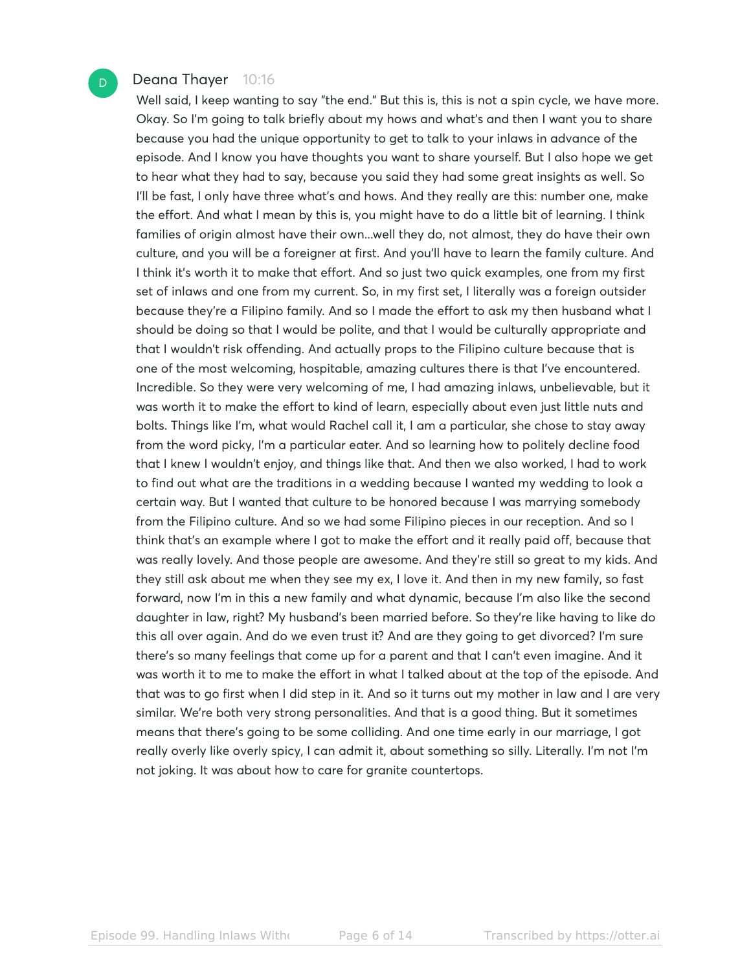# Deana Thayer 10:16

D

Well said, I keep wanting to say "the end." But this is, this is not a spin cycle, we have more. Okay. So I'm going to talk briefly about my hows and what's and then I want you to share because you had the unique opportunity to get to talk to your inlaws in advance of the episode. And I know you have thoughts you want to share yourself. But I also hope we get to hear what they had to say, because you said they had some great insights as well. So I'll be fast, I only have three what's and hows. And they really are this: number one, make the effort. And what I mean by this is, you might have to do a little bit of learning. I think families of origin almost have their own...well they do, not almost, they do have their own culture, and you will be a foreigner at first. And you'll have to learn the family culture. And I think it's worth it to make that effort. And so just two quick examples, one from my first set of inlaws and one from my current. So, in my first set, I literally was a foreign outsider because they're a Filipino family. And so I made the effort to ask my then husband what I should be doing so that I would be polite, and that I would be culturally appropriate and that I wouldn't risk offending. And actually props to the Filipino culture because that is one of the most welcoming, hospitable, amazing cultures there is that I've encountered. Incredible. So they were very welcoming of me, I had amazing inlaws, unbelievable, but it was worth it to make the effort to kind of learn, especially about even just little nuts and bolts. Things like I'm, what would Rachel call it, I am a particular, she chose to stay away from the word picky, I'm a particular eater. And so learning how to politely decline food that I knew I wouldn't enjoy, and things like that. And then we also worked, I had to work to find out what are the traditions in a wedding because I wanted my wedding to look a certain way. But I wanted that culture to be honored because I was marrying somebody from the Filipino culture. And so we had some Filipino pieces in our reception. And so I think that's an example where I got to make the effort and it really paid off, because that was really lovely. And those people are awesome. And they're still so great to my kids. And they still ask about me when they see my ex, I love it. And then in my new family, so fast forward, now I'm in this a new family and what dynamic, because I'm also like the second daughter in law, right? My husband's been married before. So they're like having to like do this all over again. And do we even trust it? And are they going to get divorced? I'm sure there's so many feelings that come up for a parent and that I can't even imagine. And it was worth it to me to make the effort in what I talked about at the top of the episode. And that was to go first when I did step in it. And so it turns out my mother in law and I are very similar. We're both very strong personalities. And that is a good thing. But it sometimes means that there's going to be some colliding. And one time early in our marriage, I got really overly like overly spicy, I can admit it, about something so silly. Literally. I'm not I'm not joking. It was about how to care for granite countertops.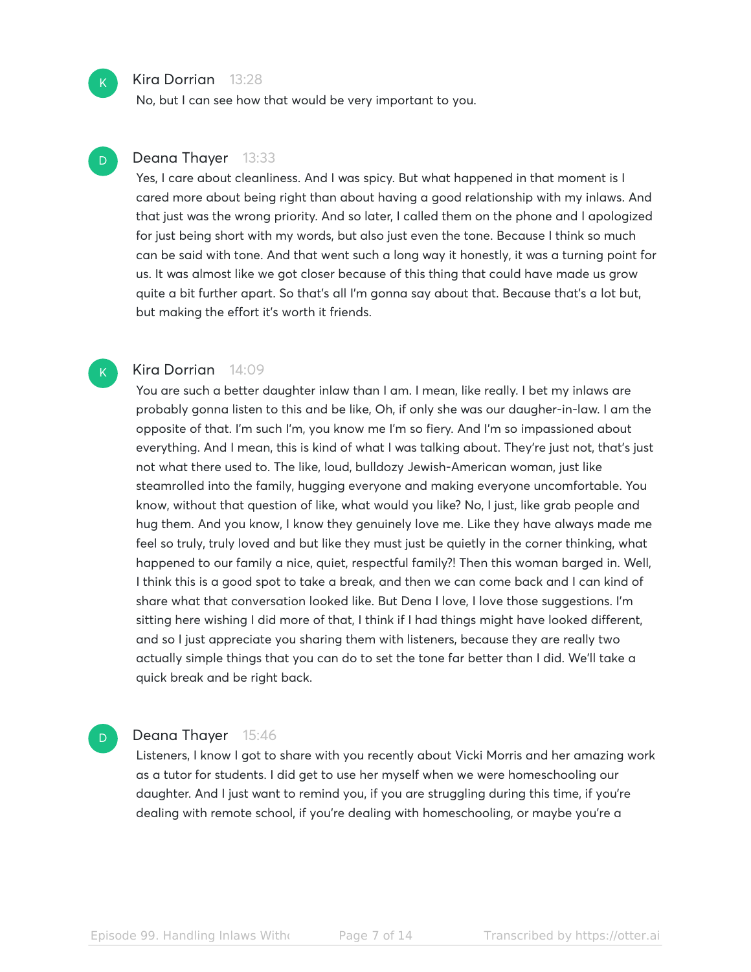#### Kira Dorrian 13:28

No, but I can see how that would be very important to you.

# Deana Thayer 13:33

Yes, I care about cleanliness. And I was spicy. But what happened in that moment is I cared more about being right than about having a good relationship with my inlaws. And that just was the wrong priority. And so later, I called them on the phone and I apologized for just being short with my words, but also just even the tone. Because I think so much can be said with tone. And that went such a long way it honestly, it was a turning point for us. It was almost like we got closer because of this thing that could have made us grow quite a bit further apart. So that's all I'm gonna say about that. Because that's a lot but, but making the effort it's worth it friends.

#### Kira Dorrian 14:09

You are such a better daughter inlaw than I am. I mean, like really. I bet my inlaws are probably gonna listen to this and be like, Oh, if only she was our daugher-in-law. I am the opposite of that. I'm such I'm, you know me I'm so fiery. And I'm so impassioned about everything. And I mean, this is kind of what I was talking about. They're just not, that's just not what there used to. The like, loud, bulldozy Jewish-American woman, just like steamrolled into the family, hugging everyone and making everyone uncomfortable. You know, without that question of like, what would you like? No, I just, like grab people and hug them. And you know, I know they genuinely love me. Like they have always made me feel so truly, truly loved and but like they must just be quietly in the corner thinking, what happened to our family a nice, quiet, respectful family?! Then this woman barged in. Well, I think this is a good spot to take a break, and then we can come back and I can kind of share what that conversation looked like. But Dena I love, I love those suggestions. I'm sitting here wishing I did more of that, I think if I had things might have looked different, and so I just appreciate you sharing them with listeners, because they are really two actually simple things that you can do to set the tone far better than I did. We'll take a quick break and be right back.

# Deana Thayer 15:46

Listeners, I know I got to share with you recently about Vicki Morris and her amazing work as a tutor for students. I did get to use her myself when we were homeschooling our daughter. And I just want to remind you, if you are struggling during this time, if you're dealing with remote school, if you're dealing with homeschooling, or maybe you're a

 $\mathsf{K}_{\scriptscriptstyle{+}}$ 

D

 $\mathsf{K}_{\scriptscriptstyle{+}}$ 

D

#### Episode 99. Handling Inlaws Without Become Page 7 of 14 Transcribed by https://otter.ai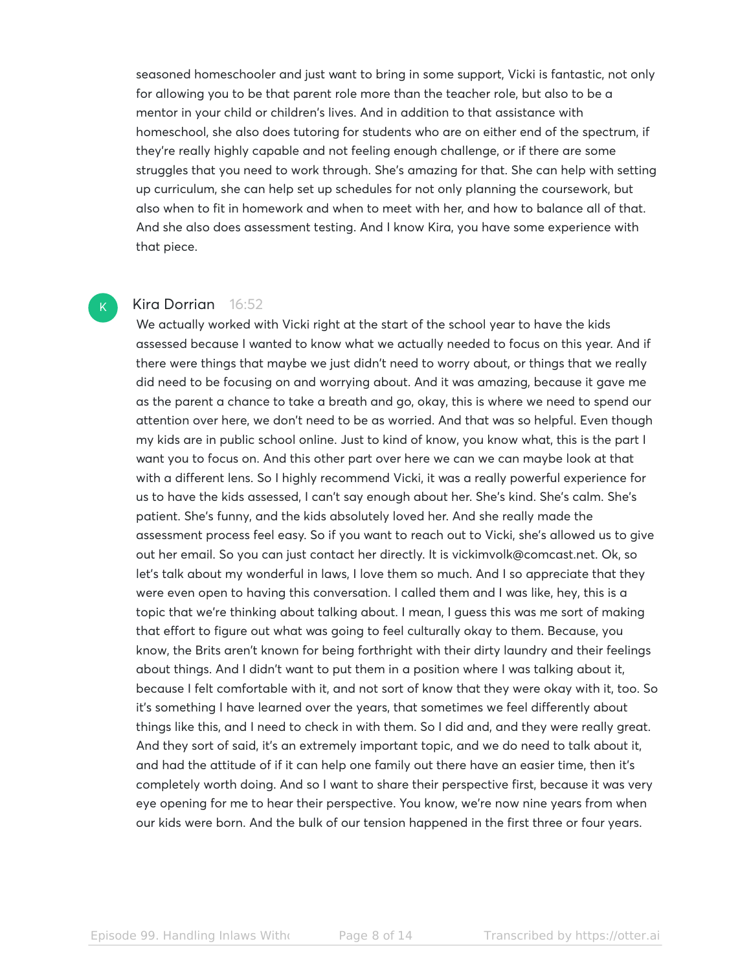seasoned homeschooler and just want to bring in some support, Vicki is fantastic, not only for allowing you to be that parent role more than the teacher role, but also to be a mentor in your child or children's lives. And in addition to that assistance with homeschool, she also does tutoring for students who are on either end of the spectrum, if they're really highly capable and not feeling enough challenge, or if there are some struggles that you need to work through. She's amazing for that. She can help with setting up curriculum, she can help set up schedules for not only planning the coursework, but also when to fit in homework and when to meet with her, and how to balance all of that. And she also does assessment testing. And I know Kira, you have some experience with that piece.

### Kira Dorrian 16:52

 $K$ 

We actually worked with Vicki right at the start of the school year to have the kids assessed because I wanted to know what we actually needed to focus on this year. And if there were things that maybe we just didn't need to worry about, or things that we really did need to be focusing on and worrying about. And it was amazing, because it gave me as the parent a chance to take a breath and go, okay, this is where we need to spend our attention over here, we don't need to be as worried. And that was so helpful. Even though my kids are in public school online. Just to kind of know, you know what, this is the part I want you to focus on. And this other part over here we can we can maybe look at that with a different lens. So I highly recommend Vicki, it was a really powerful experience for us to have the kids assessed, I can't say enough about her. She's kind. She's calm. She's patient. She's funny, and the kids absolutely loved her. And she really made the assessment process feel easy. So if you want to reach out to Vicki, she's allowed us to give out her email. So you can just contact her directly. It is vickimvolk@comcast.net. Ok, so let's talk about my wonderful in laws, I love them so much. And I so appreciate that they were even open to having this conversation. I called them and I was like, hey, this is a topic that we're thinking about talking about. I mean, I guess this was me sort of making that effort to figure out what was going to feel culturally okay to them. Because, you know, the Brits aren't known for being forthright with their dirty laundry and their feelings about things. And I didn't want to put them in a position where I was talking about it, because I felt comfortable with it, and not sort of know that they were okay with it, too. So it's something I have learned over the years, that sometimes we feel differently about things like this, and I need to check in with them. So I did and, and they were really great. And they sort of said, it's an extremely important topic, and we do need to talk about it, and had the attitude of if it can help one family out there have an easier time, then it's completely worth doing. And so I want to share their perspective first, because it was very eye opening for me to hear their perspective. You know, we're now nine years from when our kids were born. And the bulk of our tension happened in the first three or four years.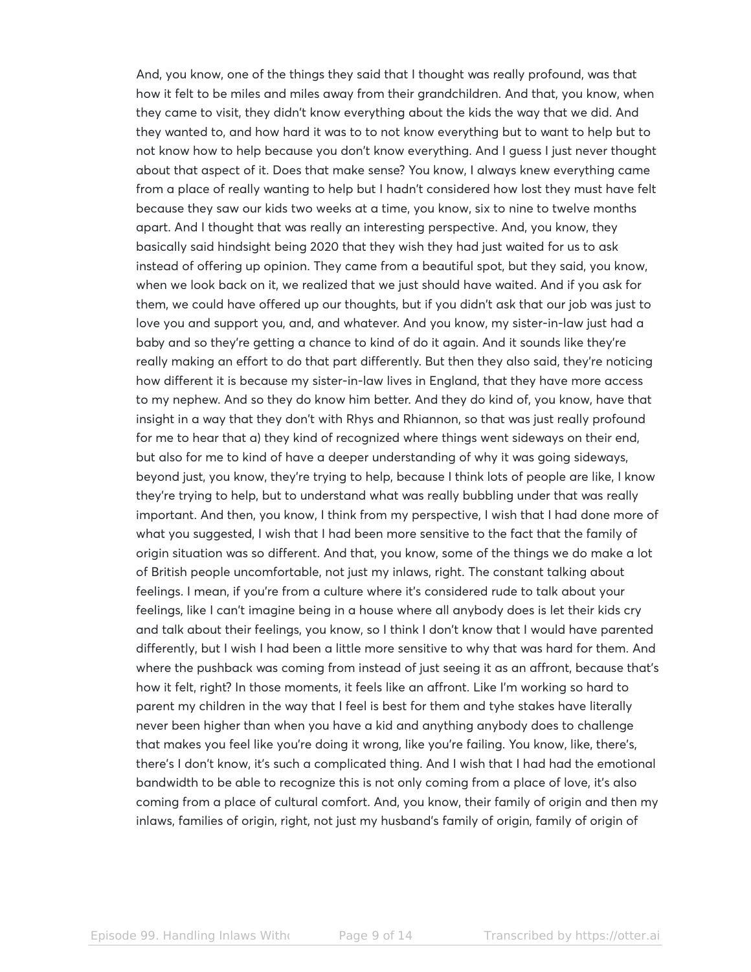And, you know, one of the things they said that I thought was really profound, was that how it felt to be miles and miles away from their grandchildren. And that, you know, when they came to visit, they didn't know everything about the kids the way that we did. And they wanted to, and how hard it was to to not know everything but to want to help but to not know how to help because you don't know everything. And I guess I just never thought about that aspect of it. Does that make sense? You know, I always knew everything came from a place of really wanting to help but I hadn't considered how lost they must have felt because they saw our kids two weeks at a time, you know, six to nine to twelve months apart. And I thought that was really an interesting perspective. And, you know, they basically said hindsight being 2020 that they wish they had just waited for us to ask instead of offering up opinion. They came from a beautiful spot, but they said, you know, when we look back on it, we realized that we just should have waited. And if you ask for them, we could have offered up our thoughts, but if you didn't ask that our job was just to love you and support you, and, and whatever. And you know, my sister-in-law just had a baby and so they're getting a chance to kind of do it again. And it sounds like they're really making an effort to do that part differently. But then they also said, they're noticing how different it is because my sister-in-law lives in England, that they have more access to my nephew. And so they do know him better. And they do kind of, you know, have that insight in a way that they don't with Rhys and Rhiannon, so that was just really profound for me to hear that a) they kind of recognized where things went sideways on their end, but also for me to kind of have a deeper understanding of why it was going sideways, beyond just, you know, they're trying to help, because I think lots of people are like, I know they're trying to help, but to understand what was really bubbling under that was really important. And then, you know, I think from my perspective, I wish that I had done more of what you suggested, I wish that I had been more sensitive to the fact that the family of origin situation was so different. And that, you know, some of the things we do make a lot of British people uncomfortable, not just my inlaws, right. The constant talking about feelings. I mean, if you're from a culture where it's considered rude to talk about your feelings, like I can't imagine being in a house where all anybody does is let their kids cry and talk about their feelings, you know, so I think I don't know that I would have parented differently, but I wish I had been a little more sensitive to why that was hard for them. And where the pushback was coming from instead of just seeing it as an affront, because that's how it felt, right? In those moments, it feels like an affront. Like I'm working so hard to parent my children in the way that I feel is best for them and tyhe stakes have literally never been higher than when you have a kid and anything anybody does to challenge that makes you feel like you're doing it wrong, like you're failing. You know, like, there's, there's I don't know, it's such a complicated thing. And I wish that I had had the emotional bandwidth to be able to recognize this is not only coming from a place of love, it's also coming from a place of cultural comfort. And, you know, their family of origin and then my inlaws, families of origin, right, not just my husband's family of origin, family of origin of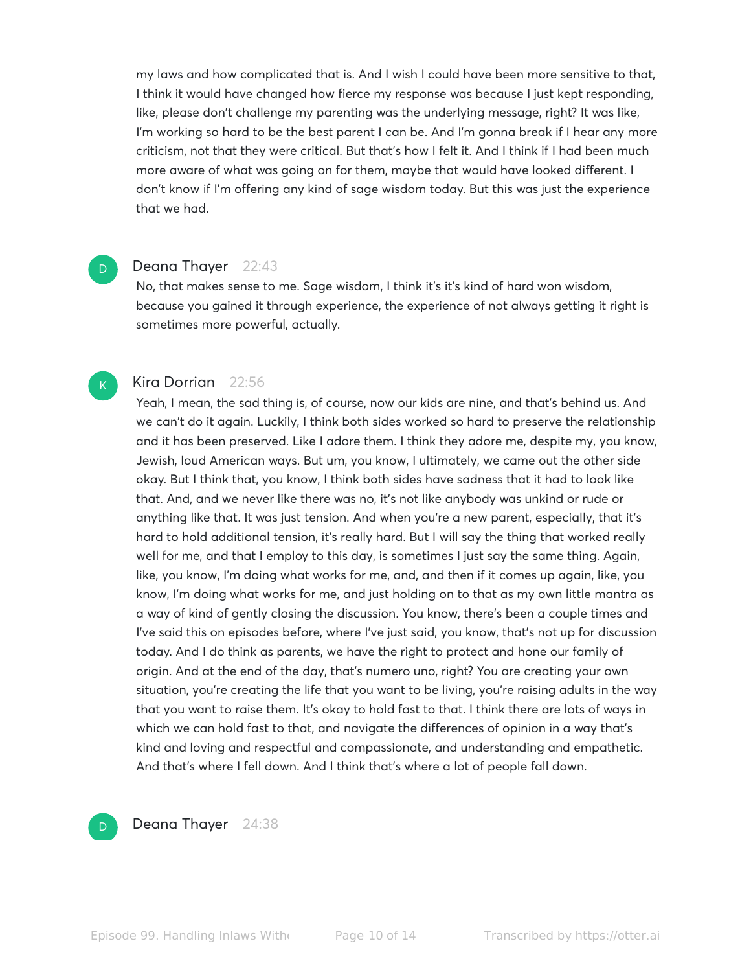my laws and how complicated that is. And I wish I could have been more sensitive to that, I think it would have changed how fierce my response was because I just kept responding, like, please don't challenge my parenting was the underlying message, right? It was like, I'm working so hard to be the best parent I can be. And I'm gonna break if I hear any more criticism, not that they were critical. But that's how I felt it. And I think if I had been much more aware of what was going on for them, maybe that would have looked different. I don't know if I'm offering any kind of sage wisdom today. But this was just the experience that we had.

#### Deana Thayer 22:43

D

 $K<sub>1</sub>$ 

No, that makes sense to me. Sage wisdom, I think it's it's kind of hard won wisdom, because you gained it through experience, the experience of not always getting it right is sometimes more powerful, actually.

# Kira Dorrian 22:56

Yeah, I mean, the sad thing is, of course, now our kids are nine, and that's behind us. And we can't do it again. Luckily, I think both sides worked so hard to preserve the relationship and it has been preserved. Like I adore them. I think they adore me, despite my, you know, Jewish, loud American ways. But um, you know, I ultimately, we came out the other side okay. But I think that, you know, I think both sides have sadness that it had to look like that. And, and we never like there was no, it's not like anybody was unkind or rude or anything like that. It was just tension. And when you're a new parent, especially, that it's hard to hold additional tension, it's really hard. But I will say the thing that worked really well for me, and that I employ to this day, is sometimes I just say the same thing. Again, like, you know, I'm doing what works for me, and, and then if it comes up again, like, you know, I'm doing what works for me, and just holding on to that as my own little mantra as a way of kind of gently closing the discussion. You know, there's been a couple times and I've said this on episodes before, where I've just said, you know, that's not up for discussion today. And I do think as parents, we have the right to protect and hone our family of origin. And at the end of the day, that's numero uno, right? You are creating your own situation, you're creating the life that you want to be living, you're raising adults in the way that you want to raise them. It's okay to hold fast to that. I think there are lots of ways in which we can hold fast to that, and navigate the differences of opinion in a way that's kind and loving and respectful and compassionate, and understanding and empathetic. And that's where I fell down. And I think that's where a lot of people fall down.

#### $D$

Deana Thayer 24:38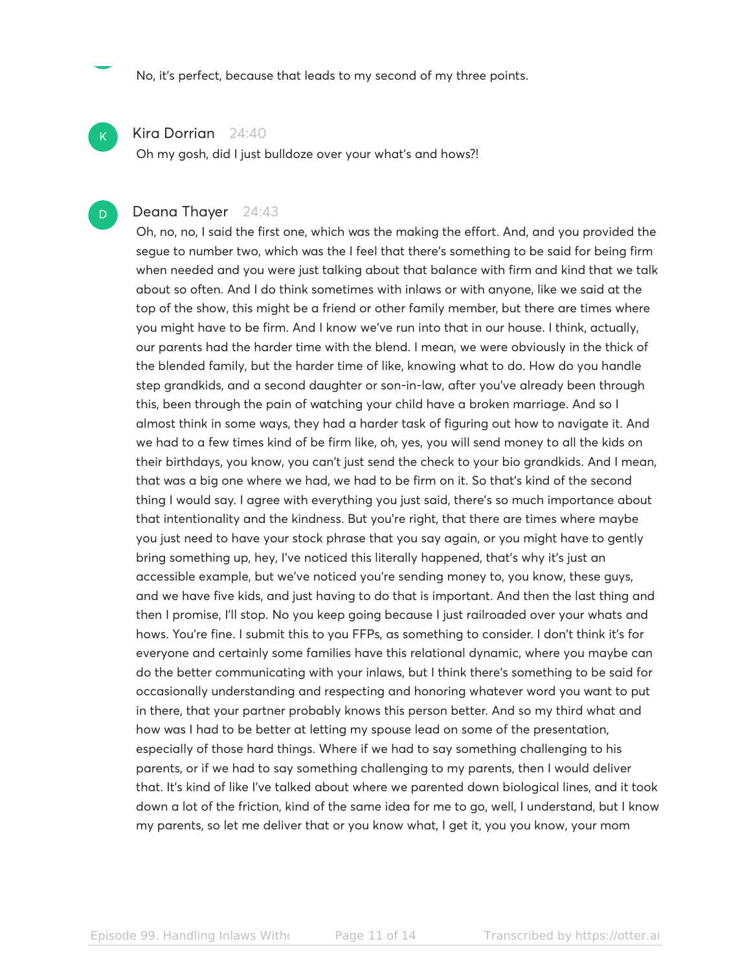No, it's perfect, because that leads to my second of my three points.

### Kira Dorrian 24:40

 $\mathsf{K}_{\scriptscriptstyle{+}}$ 

D

Oh my gosh, did I just bulldoze over your what's and hows?!

# Deana Thayer 24:43

Oh, no, no, I said the first one, which was the making the effort. And, and you provided the segue to number two, which was the I feel that there's something to be said for being firm when needed and you were just talking about that balance with firm and kind that we talk about so often. And I do think sometimes with inlaws or with anyone, like we said at the top of the show, this might be a friend or other family member, but there are times where you might have to be firm. And I know we've run into that in our house. I think, actually, our parents had the harder time with the blend. I mean, we were obviously in the thick of the blended family, but the harder time of like, knowing what to do. How do you handle step grandkids, and a second daughter or son-in-law, after you've already been through this, been through the pain of watching your child have a broken marriage. And so I almost think in some ways, they had a harder task of figuring out how to navigate it. And we had to a few times kind of be firm like, oh, yes, you will send money to all the kids on their birthdays, you know, you can't just send the check to your bio grandkids. And I mean, that was a big one where we had, we had to be firm on it. So that's kind of the second thing I would say. I agree with everything you just said, there's so much importance about that intentionality and the kindness. But you're right, that there are times where maybe you just need to have your stock phrase that you say again, or you might have to gently bring something up, hey, I've noticed this literally happened, that's why it's just an accessible example, but we've noticed you're sending money to, you know, these guys, and we have five kids, and just having to do that is important. And then the last thing and then I promise, I'll stop. No you keep going because I just railroaded over your whats and hows. You're fine. I submit this to you FFPs, as something to consider. I don't think it's for everyone and certainly some families have this relational dynamic, where you maybe can do the better communicating with your inlaws, but I think there's something to be said for occasionally understanding and respecting and honoring whatever word you want to put in there, that your partner probably knows this person better. And so my third what and how was I had to be better at letting my spouse lead on some of the presentation, especially of those hard things. Where if we had to say something challenging to his parents, or if we had to say something challenging to my parents, then I would deliver that. It's kind of like I've talked about where we parented down biological lines, and it took down a lot of the friction, kind of the same idea for me to go, well, I understand, but I know my parents, so let me deliver that or you know what, I get it, you you know, your mom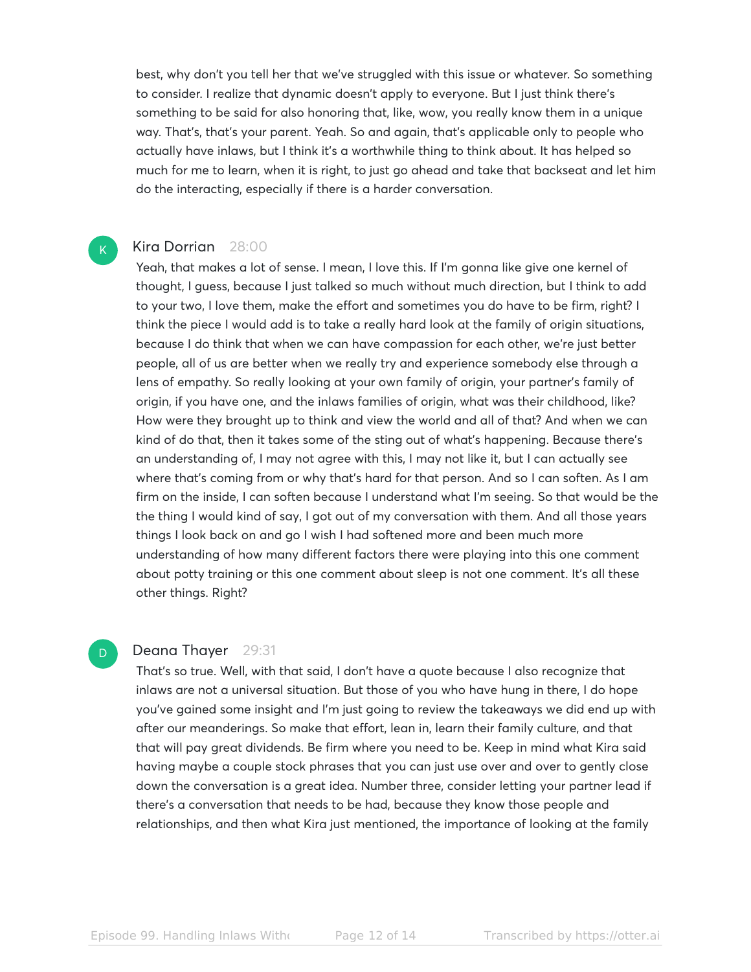best, why don't you tell her that we've struggled with this issue or whatever. So something to consider. I realize that dynamic doesn't apply to everyone. But I just think there's something to be said for also honoring that, like, wow, you really know them in a unique way. That's, that's your parent. Yeah. So and again, that's applicable only to people who actually have inlaws, but I think it's a worthwhile thing to think about. It has helped so much for me to learn, when it is right, to just go ahead and take that backseat and let him do the interacting, especially if there is a harder conversation.

#### Kira Dorrian 28:00

 $\mathsf{K}_{\scriptscriptstyle{+}}$ 

D

Yeah, that makes a lot of sense. I mean, I love this. If I'm gonna like give one kernel of thought, I guess, because I just talked so much without much direction, but I think to add to your two, I love them, make the effort and sometimes you do have to be firm, right? I think the piece I would add is to take a really hard look at the family of origin situations, because I do think that when we can have compassion for each other, we're just better people, all of us are better when we really try and experience somebody else through a lens of empathy. So really looking at your own family of origin, your partner's family of origin, if you have one, and the inlaws families of origin, what was their childhood, like? How were they brought up to think and view the world and all of that? And when we can kind of do that, then it takes some of the sting out of what's happening. Because there's an understanding of, I may not agree with this, I may not like it, but I can actually see where that's coming from or why that's hard for that person. And so I can soften. As I am firm on the inside, I can soften because I understand what I'm seeing. So that would be the the thing I would kind of say, I got out of my conversation with them. And all those years things I look back on and go I wish I had softened more and been much more understanding of how many different factors there were playing into this one comment about potty training or this one comment about sleep is not one comment. It's all these other things. Right?

#### Deana Thayer 29:31

That's so true. Well, with that said, I don't have a quote because I also recognize that inlaws are not a universal situation. But those of you who have hung in there, I do hope you've gained some insight and I'm just going to review the takeaways we did end up with after our meanderings. So make that effort, lean in, learn their family culture, and that that will pay great dividends. Be firm where you need to be. Keep in mind what Kira said having maybe a couple stock phrases that you can just use over and over to gently close down the conversation is a great idea. Number three, consider letting your partner lead if there's a conversation that needs to be had, because they know those people and relationships, and then what Kira just mentioned, the importance of looking at the family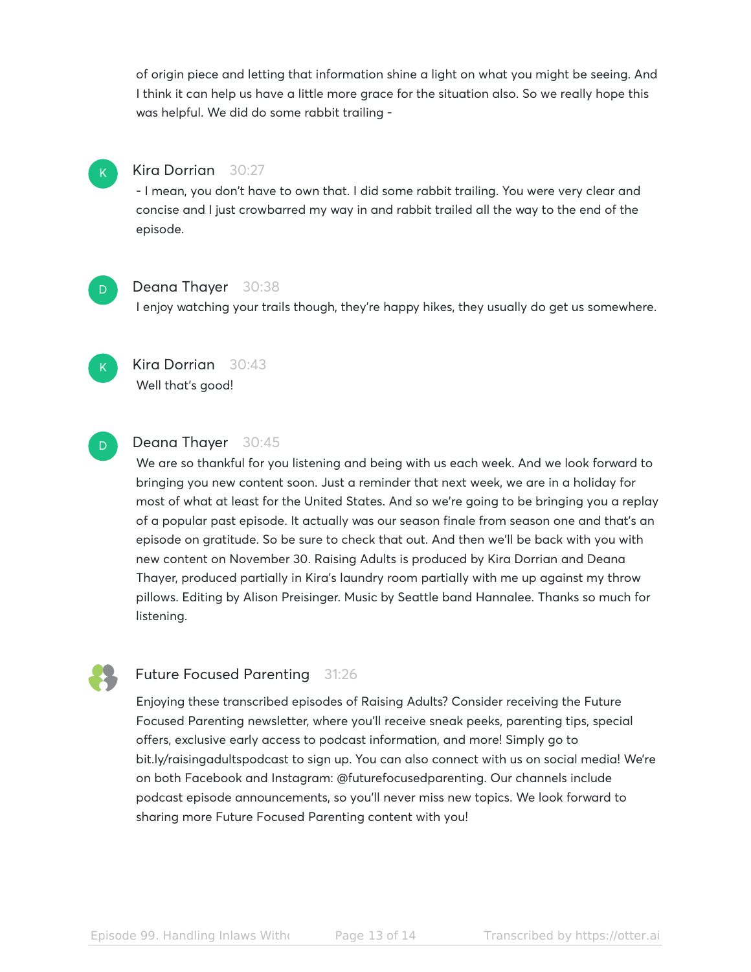of origin piece and letting that information shine a light on what you might be seeing. And I think it can help us have a little more grace for the situation also. So we really hope this was helpful. We did do some rabbit trailing -

# Kira Dorrian 30:27

- I mean, you don't have to own that. I did some rabbit trailing. You were very clear and concise and I just crowbarred my way in and rabbit trailed all the way to the end of the episode.

# D

 $\mathsf{K}_{\scriptscriptstyle{+}}$ 

# Deana Thayer 30:38

I enjoy watching your trails though, they're happy hikes, they usually do get us somewhere.



# Kira Dorrian 30:43 Well that's good!

# D

# Deana Thayer 30:45

We are so thankful for you listening and being with us each week. And we look forward to bringing you new content soon. Just a reminder that next week, we are in a holiday for most of what at least for the United States. And so we're going to be bringing you a replay of a popular past episode. It actually was our season finale from season one and that's an episode on gratitude. So be sure to check that out. And then we'll be back with you with new content on November 30. Raising Adults is produced by Kira Dorrian and Deana Thayer, produced partially in Kira's laundry room partially with me up against my throw pillows. Editing by Alison Preisinger. Music by Seattle band Hannalee. Thanks so much for listening.



# Future Focused Parenting 31:26

Enjoying these transcribed episodes of Raising Adults? Consider receiving the Future Focused Parenting newsletter, where you'll receive sneak peeks, parenting tips, special offers, exclusive early access to podcast information, and more! Simply go to bit.ly/raisingadultspodcast to sign up. You can also connect with us on social media! We're on both Facebook and Instagram: @futurefocusedparenting. Our channels include podcast episode announcements, so you'll never miss new topics. We look forward to sharing more Future Focused Parenting content with you!